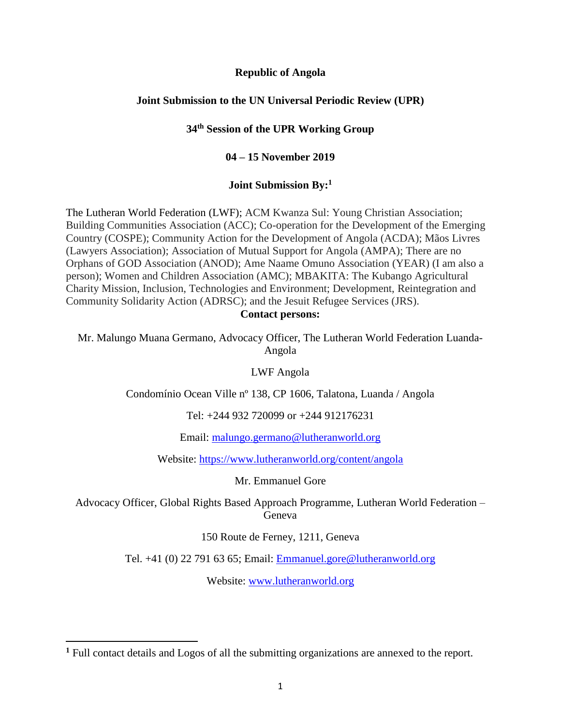#### **Republic of Angola**

## **Joint Submission to the UN Universal Periodic Review (UPR)**

#### **34th Session of the UPR Working Group**

#### **04 – 15 November 2019**

#### **Joint Submission By:<sup>1</sup>**

The Lutheran World Federation (LWF); ACM Kwanza Sul: Young Christian Association; Building Communities Association (ACC); Co-operation for the Development of the Emerging Country (COSPE); Community Action for the Development of Angola (ACDA); Mãos Livres (Lawyers Association); Association of Mutual Support for Angola (AMPA); There are no Orphans of GOD Association (ANOD); Ame Naame Omuno Association (YEAR) (I am also a person); Women and Children Association (AMC); MBAKITA: The Kubango Agricultural Charity Mission, Inclusion, Technologies and Environment; Development, Reintegration and Community Solidarity Action (ADRSC); and the Jesuit Refugee Services (JRS).

#### **Contact persons:**

Mr. Malungo Muana Germano, Advocacy Officer, The Lutheran World Federation Luanda-Angola

LWF Angola

Condomínio Ocean Ville nº 138, CP 1606, Talatona, Luanda / Angola

Tel: +244 932 720099 or +244 912176231

Email: [malungo.germano@lutheranworld.org](mailto:malungo.germano@lutheranworld.org)

Website: <https://www.lutheranworld.org/content/angola>

Mr. Emmanuel Gore

Advocacy Officer, Global Rights Based Approach Programme, Lutheran World Federation – Geneva

150 Route de Ferney, 1211, Geneva

Tel. +41 (0) 22 791 63 65; Email: [Emmanuel.gore@lutheranworld.org](mailto:Emmanuel.gore@lutheranworld.org)

Website: [www.lutheranworld.org](http://www.lutheranworld.org/)

 $\overline{a}$ 

**<sup>1</sup>** Full contact details and Logos of all the submitting organizations are annexed to the report.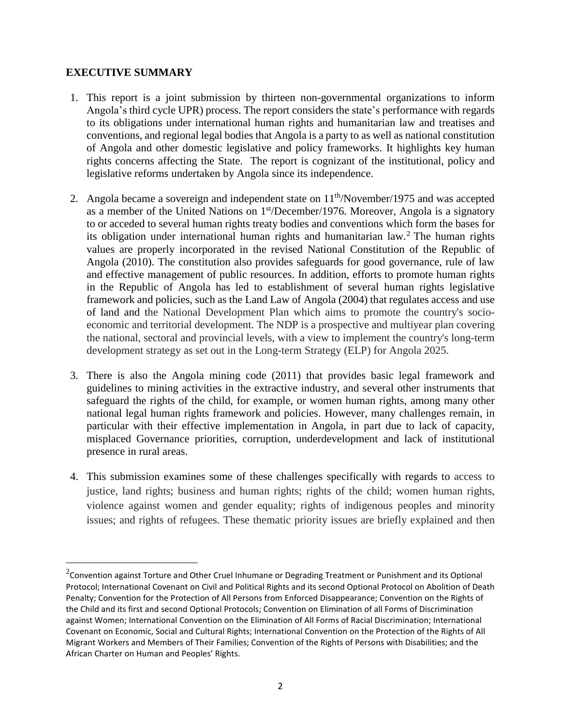# **EXECUTIVE SUMMARY**

 $\overline{a}$ 

- 1. This report is a joint submission by thirteen non-governmental organizations to inform Angola's third cycle UPR) process. The report considers the state's performance with regards to its obligations under international human rights and humanitarian law and treatises and conventions, and regional legal bodies that Angola is a party to as well as national constitution of Angola and other domestic legislative and policy frameworks. It highlights key human rights concerns affecting the State. The report is cognizant of the institutional, policy and legislative reforms undertaken by Angola since its independence.
- 2. Angola became a sovereign and independent state on 11<sup>th</sup>/November/1975 and was accepted as a member of the United Nations on 1<sup>st</sup>/December/1976. Moreover, Angola is a signatory to or acceded to several human rights treaty bodies and conventions which form the bases for its obligation under international human rights and humanitarian law.<sup>2</sup> The human rights values are properly incorporated in the revised National Constitution of the Republic of Angola (2010). The constitution also provides safeguards for good governance, rule of law and effective management of public resources. In addition, efforts to promote human rights in the Republic of Angola has led to establishment of several human rights legislative framework and policies, such as the Land Law of Angola (2004) that regulates access and use of land and the National Development Plan which aims to promote the country's socioeconomic and territorial development. The NDP is a prospective and multiyear plan covering the national, sectoral and provincial levels, with a view to implement the country's long-term development strategy as set out in the Long-term Strategy (ELP) for Angola 2025.
- 3. There is also the Angola mining code (2011) that provides basic legal framework and guidelines to mining activities in the extractive industry, and several other instruments that safeguard the rights of the child, for example, or women human rights, among many other national legal human rights framework and policies. However, many challenges remain, in particular with their effective implementation in Angola, in part due to lack of capacity, misplaced Governance priorities, corruption, underdevelopment and lack of institutional presence in rural areas.
- 4. This submission examines some of these challenges specifically with regards to access to justice, land rights; business and human rights; rights of the child; women human rights, violence against women and gender equality; rights of indigenous peoples and minority issues; and rights of refugees. These thematic priority issues are briefly explained and then

 $^{2}$ Convention against Torture and Other Cruel Inhumane or Degrading Treatment or Punishment and its Optional Protocol; International Covenant on Civil and Political Rights and its second Optional Protocol on Abolition of Death Penalty; Convention for the Protection of All Persons from Enforced Disappearance; Convention on the Rights of the Child and its first and second Optional Protocols; Convention on Elimination of all Forms of Discrimination against Women; International Convention on the Elimination of All Forms of Racial Discrimination; International Covenant on Economic, Social and Cultural Rights; International Convention on the Protection of the Rights of All Migrant Workers and Members of Their Families; Convention of the Rights of Persons with Disabilities; and the African Charter on Human and Peoples' Rights.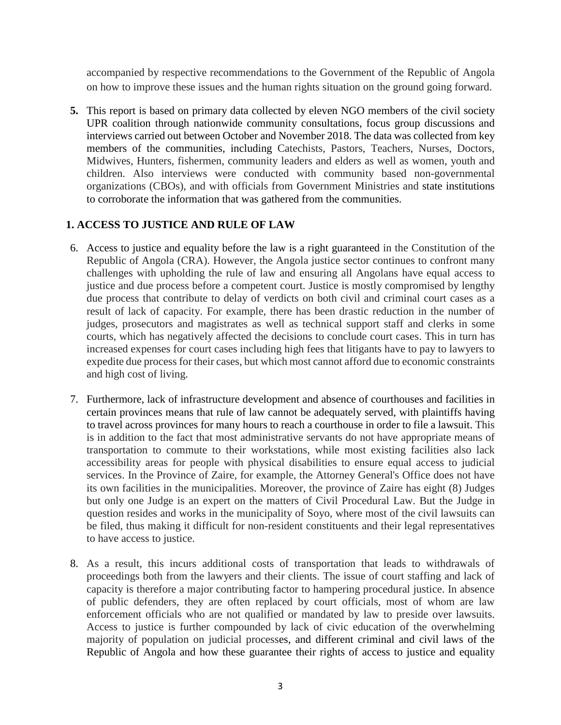accompanied by respective recommendations to the Government of the Republic of Angola on how to improve these issues and the human rights situation on the ground going forward.

**5.** This report is based on primary data collected by eleven NGO members of the civil society UPR coalition through nationwide community consultations, focus group discussions and interviews carried out between October and November 2018. The data was collected from key members of the communities, including Catechists, Pastors, Teachers, Nurses, Doctors, Midwives, Hunters, fishermen, community leaders and elders as well as women, youth and children. Also interviews were conducted with community based non-governmental organizations (CBOs), and with officials from Government Ministries and state institutions to corroborate the information that was gathered from the communities.

# **1. ACCESS TO JUSTICE AND RULE OF LAW**

- 6. Access to justice and equality before the law is a right guaranteed in the Constitution of the Republic of Angola (CRA). However, the Angola justice sector continues to confront many challenges with upholding the rule of law and ensuring all Angolans have equal access to justice and due process before a competent court. Justice is mostly compromised by lengthy due process that contribute to delay of verdicts on both civil and criminal court cases as a result of lack of capacity. For example, there has been drastic reduction in the number of judges, prosecutors and magistrates as well as technical support staff and clerks in some courts, which has negatively affected the decisions to conclude court cases. This in turn has increased expenses for court cases including high fees that litigants have to pay to lawyers to expedite due process for their cases, but which most cannot afford due to economic constraints and high cost of living.
- 7. Furthermore, lack of infrastructure development and absence of courthouses and facilities in certain provinces means that rule of law cannot be adequately served, with plaintiffs having to travel across provinces for many hours to reach a courthouse in order to file a lawsuit. This is in addition to the fact that most administrative servants do not have appropriate means of transportation to commute to their workstations, while most existing facilities also lack accessibility areas for people with physical disabilities to ensure equal access to judicial services. In the Province of Zaire, for example, the Attorney General's Office does not have its own facilities in the municipalities. Moreover, the province of Zaire has eight (8) Judges but only one Judge is an expert on the matters of Civil Procedural Law. But the Judge in question resides and works in the municipality of Soyo, where most of the civil lawsuits can be filed, thus making it difficult for non-resident constituents and their legal representatives to have access to justice.
- 8. As a result, this incurs additional costs of transportation that leads to withdrawals of proceedings both from the lawyers and their clients. The issue of court staffing and lack of capacity is therefore a major contributing factor to hampering procedural justice. In absence of public defenders, they are often replaced by court officials, most of whom are law enforcement officials who are not qualified or mandated by law to preside over lawsuits. Access to justice is further compounded by lack of civic education of the overwhelming majority of population on judicial processes, and different criminal and civil laws of the Republic of Angola and how these guarantee their rights of access to justice and equality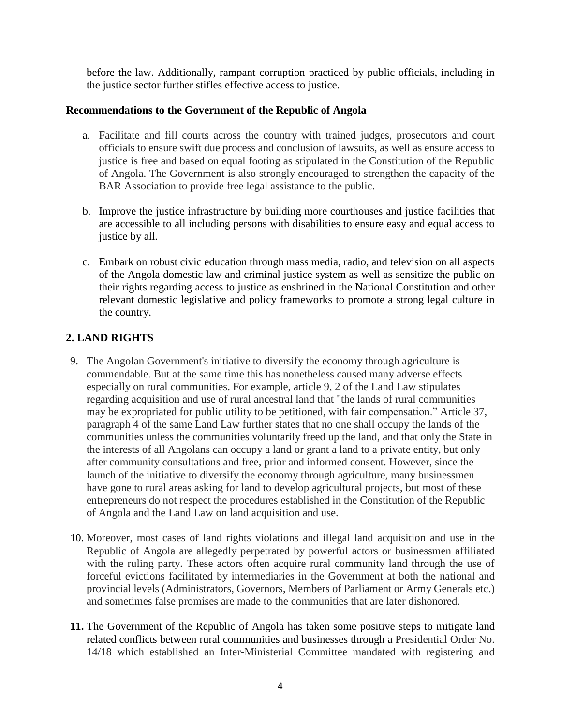before the law. Additionally, rampant corruption practiced by public officials, including in the justice sector further stifles effective access to justice.

# **Recommendations to the Government of the Republic of Angola**

- a. Facilitate and fill courts across the country with trained judges, prosecutors and court officials to ensure swift due process and conclusion of lawsuits, as well as ensure access to justice is free and based on equal footing as stipulated in the Constitution of the Republic of Angola. The Government is also strongly encouraged to strengthen the capacity of the BAR Association to provide free legal assistance to the public.
- b. Improve the justice infrastructure by building more courthouses and justice facilities that are accessible to all including persons with disabilities to ensure easy and equal access to justice by all.
- c. Embark on robust civic education through mass media, radio, and television on all aspects of the Angola domestic law and criminal justice system as well as sensitize the public on their rights regarding access to justice as enshrined in the National Constitution and other relevant domestic legislative and policy frameworks to promote a strong legal culture in the country.

# **2. LAND RIGHTS**

- 9. The Angolan Government's initiative to diversify the economy through agriculture is commendable. But at the same time this has nonetheless caused many adverse effects especially on rural communities. For example, article 9, 2 of the Land Law stipulates regarding acquisition and use of rural ancestral land that "the lands of rural communities may be expropriated for public utility to be petitioned, with fair compensation." Article 37, paragraph 4 of the same Land Law further states that no one shall occupy the lands of the communities unless the communities voluntarily freed up the land, and that only the State in the interests of all Angolans can occupy a land or grant a land to a private entity, but only after community consultations and free, prior and informed consent. However, since the launch of the initiative to diversify the economy through agriculture, many businessmen have gone to rural areas asking for land to develop agricultural projects, but most of these entrepreneurs do not respect the procedures established in the Constitution of the Republic of Angola and the Land Law on land acquisition and use.
- 10. Moreover, most cases of land rights violations and illegal land acquisition and use in the Republic of Angola are allegedly perpetrated by powerful actors or businessmen affiliated with the ruling party. These actors often acquire rural community land through the use of forceful evictions facilitated by intermediaries in the Government at both the national and provincial levels (Administrators, Governors, Members of Parliament or Army Generals etc.) and sometimes false promises are made to the communities that are later dishonored.
- **11.** The Government of the Republic of Angola has taken some positive steps to mitigate land related conflicts between rural communities and businesses through a Presidential Order No. 14/18 which established an Inter-Ministerial Committee mandated with registering and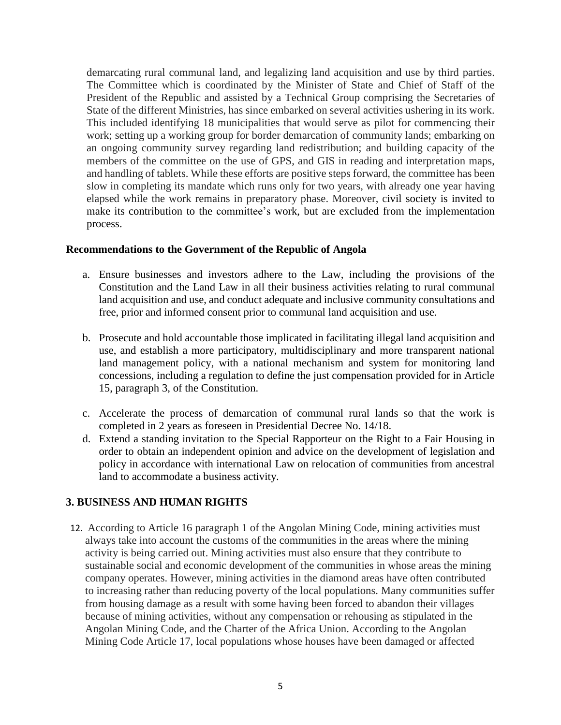demarcating rural communal land, and legalizing land acquisition and use by third parties. The Committee which is coordinated by the Minister of State and Chief of Staff of the President of the Republic and assisted by a Technical Group comprising the Secretaries of State of the different Ministries, has since embarked on several activities ushering in its work. This included identifying 18 municipalities that would serve as pilot for commencing their work; setting up a working group for border demarcation of community lands; embarking on an ongoing community survey regarding land redistribution; and building capacity of the members of the committee on the use of GPS, and GIS in reading and interpretation maps, and handling of tablets. While these efforts are positive steps forward, the committee has been slow in completing its mandate which runs only for two years, with already one year having elapsed while the work remains in preparatory phase. Moreover, civil society is invited to make its contribution to the committee's work, but are excluded from the implementation process.

#### **Recommendations to the Government of the Republic of Angola**

- a. Ensure businesses and investors adhere to the Law, including the provisions of the Constitution and the Land Law in all their business activities relating to rural communal land acquisition and use, and conduct adequate and inclusive community consultations and free, prior and informed consent prior to communal land acquisition and use.
- b. Prosecute and hold accountable those implicated in facilitating illegal land acquisition and use, and establish a more participatory, multidisciplinary and more transparent national land management policy, with a national mechanism and system for monitoring land concessions, including a regulation to define the just compensation provided for in Article 15, paragraph 3, of the Constitution.
- c. Accelerate the process of demarcation of communal rural lands so that the work is completed in 2 years as foreseen in Presidential Decree No. 14/18.
- d. Extend a standing invitation to the Special Rapporteur on the Right to a Fair Housing in order to obtain an independent opinion and advice on the development of legislation and policy in accordance with international Law on relocation of communities from ancestral land to accommodate a business activity.

#### **3. BUSINESS AND HUMAN RIGHTS**

12. According to Article 16 paragraph 1 of the Angolan Mining Code, mining activities must always take into account the customs of the communities in the areas where the mining activity is being carried out. Mining activities must also ensure that they contribute to sustainable social and economic development of the communities in whose areas the mining company operates. However, mining activities in the diamond areas have often contributed to increasing rather than reducing poverty of the local populations. Many communities suffer from housing damage as a result with some having been forced to abandon their villages because of mining activities, without any compensation or rehousing as stipulated in the Angolan Mining Code, and the Charter of the Africa Union. According to the Angolan Mining Code Article 17, local populations whose houses have been damaged or affected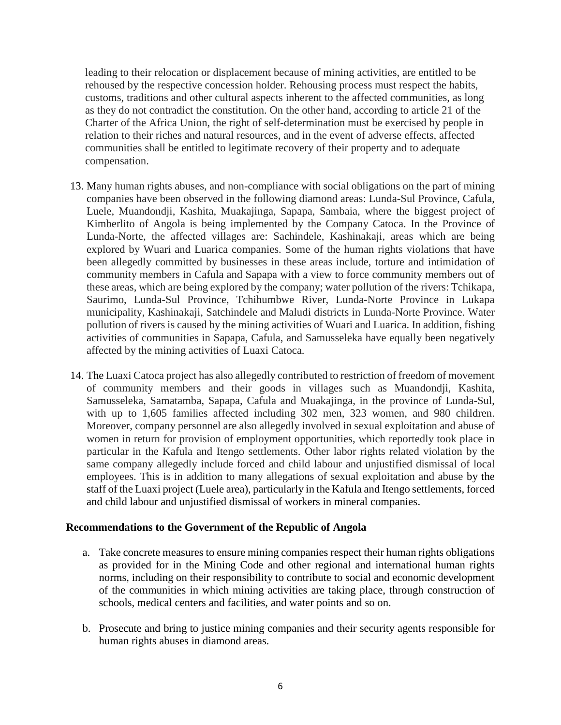leading to their relocation or displacement because of mining activities, are entitled to be rehoused by the respective concession holder. Rehousing process must respect the habits, customs, traditions and other cultural aspects inherent to the affected communities, as long as they do not contradict the constitution. On the other hand, according to article 21 of the Charter of the Africa Union, the right of self-determination must be exercised by people in relation to their riches and natural resources, and in the event of adverse effects, affected communities shall be entitled to legitimate recovery of their property and to adequate compensation.

- 13. Many human rights abuses, and non-compliance with social obligations on the part of mining companies have been observed in the following diamond areas: Lunda-Sul Province, Cafula, Luele, Muandondji, Kashita, Muakajinga, Sapapa, Sambaia, where the biggest project of Kimberlito of Angola is being implemented by the Company Catoca. In the Province of Lunda-Norte, the affected villages are: Sachindele, Kashinakaji, areas which are being explored by Wuari and Luarica companies. Some of the human rights violations that have been allegedly committed by businesses in these areas include, torture and intimidation of community members in Cafula and Sapapa with a view to force community members out of these areas, which are being explored by the company; water pollution of the rivers: Tchikapa, Saurimo, Lunda-Sul Province, Tchihumbwe River, Lunda-Norte Province in Lukapa municipality, Kashinakaji, Satchindele and Maludi districts in Lunda-Norte Province. Water pollution of rivers is caused by the mining activities of Wuari and Luarica. In addition, fishing activities of communities in Sapapa, Cafula, and Samusseleka have equally been negatively affected by the mining activities of Luaxi Catoca.
- 14. The Luaxi Catoca project has also allegedly contributed to restriction of freedom of movement of community members and their goods in villages such as Muandondji, Kashita, Samusseleka, Samatamba, Sapapa, Cafula and Muakajinga, in the province of Lunda-Sul, with up to 1,605 families affected including 302 men, 323 women, and 980 children. Moreover, company personnel are also allegedly involved in sexual exploitation and abuse of women in return for provision of employment opportunities, which reportedly took place in particular in the Kafula and Itengo settlements. Other labor rights related violation by the same company allegedly include forced and child labour and unjustified dismissal of local employees. This is in addition to many allegations of sexual exploitation and abuse by the staff of the Luaxi project (Luele area), particularly in the Kafula and Itengo settlements, forced and child labour and unjustified dismissal of workers in mineral companies.

#### **Recommendations to the Government of the Republic of Angola**

- a. Take concrete measures to ensure mining companies respect their human rights obligations as provided for in the Mining Code and other regional and international human rights norms, including on their responsibility to contribute to social and economic development of the communities in which mining activities are taking place, through construction of schools, medical centers and facilities, and water points and so on.
- b. Prosecute and bring to justice mining companies and their security agents responsible for human rights abuses in diamond areas.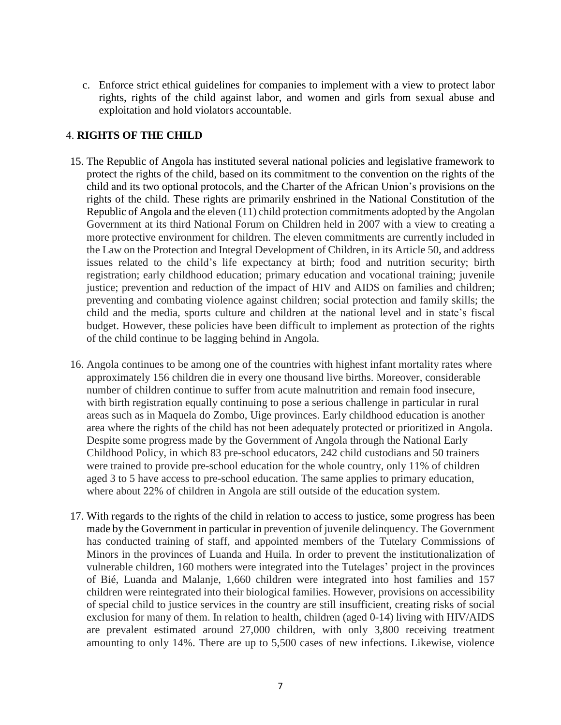c. Enforce strict ethical guidelines for companies to implement with a view to protect labor rights, rights of the child against labor, and women and girls from sexual abuse and exploitation and hold violators accountable.

## 4. **RIGHTS OF THE CHILD**

- 15. The Republic of Angola has instituted several national policies and legislative framework to protect the rights of the child, based on its commitment to the convention on the rights of the child and its two optional protocols, and the Charter of the African Union's provisions on the rights of the child. These rights are primarily enshrined in the National Constitution of the Republic of Angola and the eleven (11) child protection commitments adopted by the Angolan Government at its third National Forum on Children held in 2007 with a view to creating a more protective environment for children. The eleven commitments are currently included in the Law on the Protection and Integral Development of Children, in its Article 50, and address issues related to the child's life expectancy at birth; food and nutrition security; birth registration; early childhood education; primary education and vocational training; juvenile justice; prevention and reduction of the impact of HIV and AIDS on families and children; preventing and combating violence against children; social protection and family skills; the child and the media, sports culture and children at the national level and in state's fiscal budget. However, these policies have been difficult to implement as protection of the rights of the child continue to be lagging behind in Angola.
- 16. Angola continues to be among one of the countries with highest infant mortality rates where approximately 156 children die in every one thousand live births. Moreover, considerable number of children continue to suffer from acute malnutrition and remain food insecure, with birth registration equally continuing to pose a serious challenge in particular in rural areas such as in Maquela do Zombo, Uige provinces. Early childhood education is another area where the rights of the child has not been adequately protected or prioritized in Angola. Despite some progress made by the Government of Angola through the National Early Childhood Policy, in which 83 pre-school educators, 242 child custodians and 50 trainers were trained to provide pre-school education for the whole country, only 11% of children aged 3 to 5 have access to pre-school education. The same applies to primary education, where about 22% of children in Angola are still outside of the education system.
- 17. With regards to the rights of the child in relation to access to justice, some progress has been made by the Government in particular in prevention of juvenile delinquency. The Government has conducted training of staff, and appointed members of the Tutelary Commissions of Minors in the provinces of Luanda and Huila. In order to prevent the institutionalization of vulnerable children, 160 mothers were integrated into the Tutelages' project in the provinces of Bié, Luanda and Malanje, 1,660 children were integrated into host families and 157 children were reintegrated into their biological families. However, provisions on accessibility of special child to justice services in the country are still insufficient, creating risks of social exclusion for many of them. In relation to health, children (aged 0-14) living with HIV/AIDS are prevalent estimated around 27,000 children, with only 3,800 receiving treatment amounting to only 14%. There are up to 5,500 cases of new infections. Likewise, violence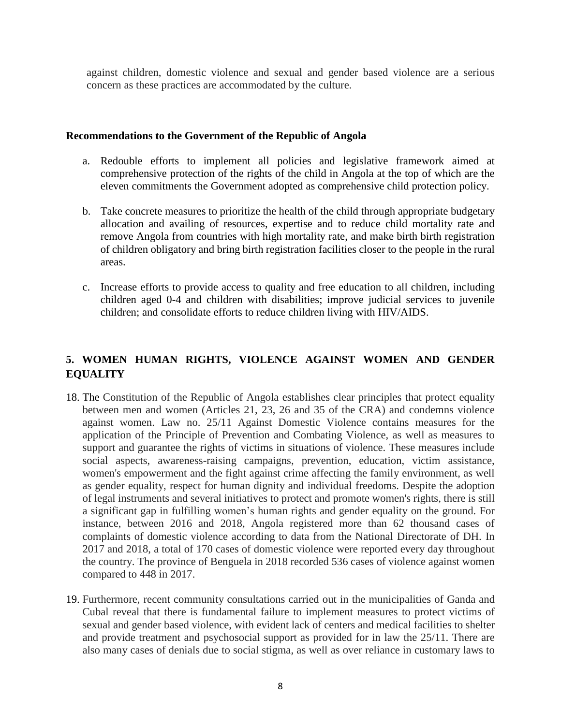against children, domestic violence and sexual and gender based violence are a serious concern as these practices are accommodated by the culture.

#### **Recommendations to the Government of the Republic of Angola**

- a. Redouble efforts to implement all policies and legislative framework aimed at comprehensive protection of the rights of the child in Angola at the top of which are the eleven commitments the Government adopted as comprehensive child protection policy.
- b. Take concrete measures to prioritize the health of the child through appropriate budgetary allocation and availing of resources, expertise and to reduce child mortality rate and remove Angola from countries with high mortality rate, and make birth birth registration of children obligatory and bring birth registration facilities closer to the people in the rural areas.
- c. Increase efforts to provide access to quality and free education to all children, including children aged 0-4 and children with disabilities; improve judicial services to juvenile children; and consolidate efforts to reduce children living with HIV/AIDS.

# **5. WOMEN HUMAN RIGHTS, VIOLENCE AGAINST WOMEN AND GENDER EQUALITY**

- 18. The Constitution of the Republic of Angola establishes clear principles that protect equality between men and women (Articles 21, 23, 26 and 35 of the CRA) and condemns violence against women. Law no. 25/11 Against Domestic Violence contains measures for the application of the Principle of Prevention and Combating Violence, as well as measures to support and guarantee the rights of victims in situations of violence. These measures include social aspects, awareness-raising campaigns, prevention, education, victim assistance, women's empowerment and the fight against crime affecting the family environment, as well as gender equality, respect for human dignity and individual freedoms. Despite the adoption of legal instruments and several initiatives to protect and promote women's rights, there is still a significant gap in fulfilling women's human rights and gender equality on the ground. For instance, between 2016 and 2018, Angola registered more than 62 thousand cases of complaints of domestic violence according to data from the National Directorate of DH. In 2017 and 2018, a total of 170 cases of domestic violence were reported every day throughout the country. The province of Benguela in 2018 recorded 536 cases of violence against women compared to 448 in 2017.
- 19. Furthermore, recent community consultations carried out in the municipalities of Ganda and Cubal reveal that there is fundamental failure to implement measures to protect victims of sexual and gender based violence, with evident lack of centers and medical facilities to shelter and provide treatment and psychosocial support as provided for in law the 25/11. There are also many cases of denials due to social stigma, as well as over reliance in customary laws to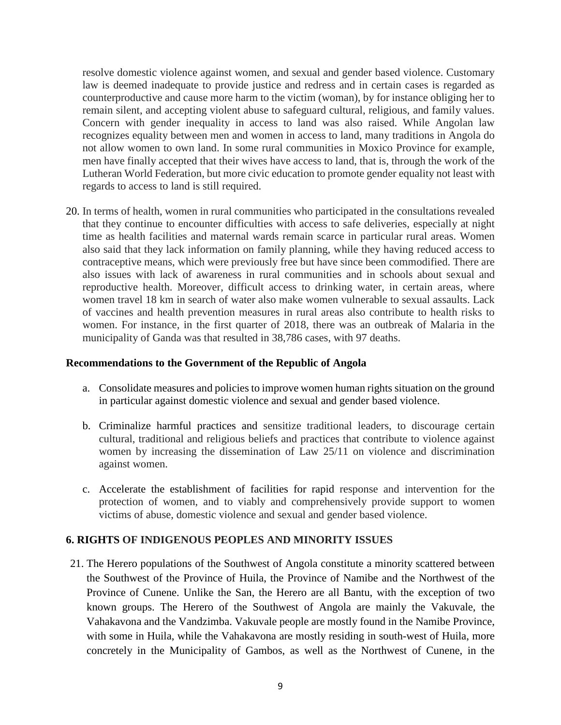resolve domestic violence against women, and sexual and gender based violence. Customary law is deemed inadequate to provide justice and redress and in certain cases is regarded as counterproductive and cause more harm to the victim (woman), by for instance obliging her to remain silent, and accepting violent abuse to safeguard cultural, religious, and family values. Concern with gender inequality in access to land was also raised. While Angolan law recognizes equality between men and women in access to land, many traditions in Angola do not allow women to own land. In some rural communities in Moxico Province for example, men have finally accepted that their wives have access to land, that is, through the work of the Lutheran World Federation, but more civic education to promote gender equality not least with regards to access to land is still required.

20. In terms of health, women in rural communities who participated in the consultations revealed that they continue to encounter difficulties with access to safe deliveries, especially at night time as health facilities and maternal wards remain scarce in particular rural areas. Women also said that they lack information on family planning, while they having reduced access to contraceptive means, which were previously free but have since been commodified. There are also issues with lack of awareness in rural communities and in schools about sexual and reproductive health. Moreover, difficult access to drinking water, in certain areas, where women travel 18 km in search of water also make women vulnerable to sexual assaults. Lack of vaccines and health prevention measures in rural areas also contribute to health risks to women. For instance, in the first quarter of 2018, there was an outbreak of Malaria in the municipality of Ganda was that resulted in 38,786 cases, with 97 deaths.

#### **Recommendations to the Government of the Republic of Angola**

- a. Consolidate measures and policies to improve women human rights situation on the ground in particular against domestic violence and sexual and gender based violence.
- b. Criminalize harmful practices and sensitize traditional leaders, to discourage certain cultural, traditional and religious beliefs and practices that contribute to violence against women by increasing the dissemination of Law 25/11 on violence and discrimination against women.
- c. Accelerate the establishment of facilities for rapid response and intervention for the protection of women, and to viably and comprehensively provide support to women victims of abuse, domestic violence and sexual and gender based violence.

#### **6. RIGHTS OF INDIGENOUS PEOPLES AND MINORITY ISSUES**

21. The Herero populations of the Southwest of Angola constitute a minority scattered between the Southwest of the Province of Huila, the Province of Namibe and the Northwest of the Province of Cunene. Unlike the San, the Herero are all Bantu, with the exception of two known groups. The Herero of the Southwest of Angola are mainly the Vakuvale, the Vahakavona and the Vandzimba. Vakuvale people are mostly found in the Namibe Province, with some in Huila, while the Vahakavona are mostly residing in south-west of Huila, more concretely in the Municipality of Gambos, as well as the Northwest of Cunene, in the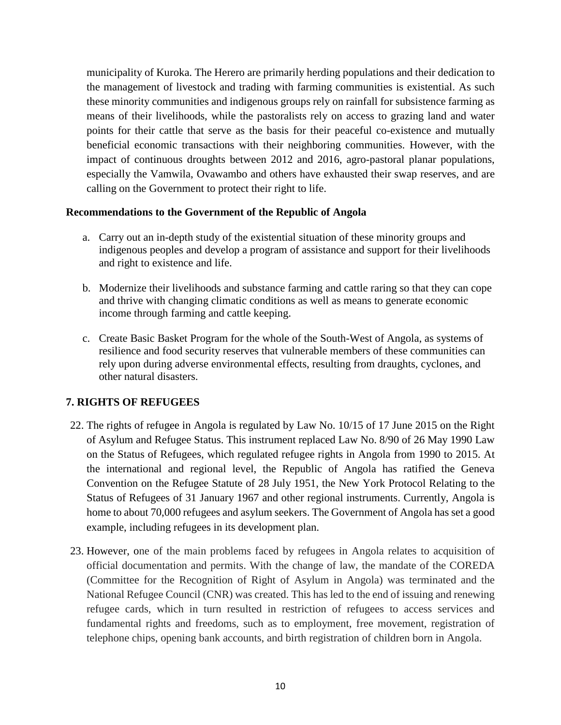municipality of Kuroka. The Herero are primarily herding populations and their dedication to the management of livestock and trading with farming communities is existential. As such these minority communities and indigenous groups rely on rainfall for subsistence farming as means of their livelihoods, while the pastoralists rely on access to grazing land and water points for their cattle that serve as the basis for their peaceful co-existence and mutually beneficial economic transactions with their neighboring communities. However, with the impact of continuous droughts between 2012 and 2016, agro-pastoral planar populations, especially the Vamwila, Ovawambo and others have exhausted their swap reserves, and are calling on the Government to protect their right to life.

#### **Recommendations to the Government of the Republic of Angola**

- a. Carry out an in-depth study of the existential situation of these minority groups and indigenous peoples and develop a program of assistance and support for their livelihoods and right to existence and life.
- b. Modernize their livelihoods and substance farming and cattle raring so that they can cope and thrive with changing climatic conditions as well as means to generate economic income through farming and cattle keeping.
- c. Create Basic Basket Program for the whole of the South-West of Angola, as systems of resilience and food security reserves that vulnerable members of these communities can rely upon during adverse environmental effects, resulting from draughts, cyclones, and other natural disasters.

# **7. RIGHTS OF REFUGEES**

- 22. The rights of refugee in Angola is regulated by Law No. 10/15 of 17 June 2015 on the Right of Asylum and Refugee Status. This instrument replaced Law No. 8/90 of 26 May 1990 Law on the Status of Refugees, which regulated refugee rights in Angola from 1990 to 2015. At the international and regional level, the Republic of Angola has ratified the Geneva Convention on the Refugee Statute of 28 July 1951, the New York Protocol Relating to the Status of Refugees of 31 January 1967 and other regional instruments. Currently, Angola is home to about 70,000 refugees and asylum seekers. The Government of Angola has set a good example, including refugees in its development plan.
- 23. However, one of the main problems faced by refugees in Angola relates to acquisition of official documentation and permits. With the change of law, the mandate of the COREDA (Committee for the Recognition of Right of Asylum in Angola) was terminated and the National Refugee Council (CNR) was created. This has led to the end of issuing and renewing refugee cards, which in turn resulted in restriction of refugees to access services and fundamental rights and freedoms, such as to employment, free movement, registration of telephone chips, opening bank accounts, and birth registration of children born in Angola.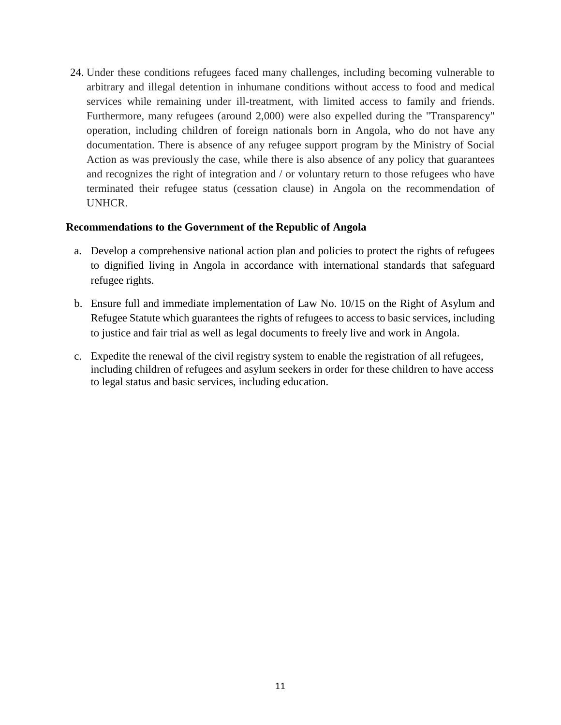24. Under these conditions refugees faced many challenges, including becoming vulnerable to arbitrary and illegal detention in inhumane conditions without access to food and medical services while remaining under ill-treatment, with limited access to family and friends. Furthermore, many refugees (around 2,000) were also expelled during the "Transparency" operation, including children of foreign nationals born in Angola, who do not have any documentation. There is absence of any refugee support program by the Ministry of Social Action as was previously the case, while there is also absence of any policy that guarantees and recognizes the right of integration and / or voluntary return to those refugees who have terminated their refugee status (cessation clause) in Angola on the recommendation of UNHCR.

# **Recommendations to the Government of the Republic of Angola**

- a. Develop a comprehensive national action plan and policies to protect the rights of refugees to dignified living in Angola in accordance with international standards that safeguard refugee rights.
- b. Ensure full and immediate implementation of Law No. 10/15 on the Right of Asylum and Refugee Statute which guarantees the rights of refugees to access to basic services, including to justice and fair trial as well as legal documents to freely live and work in Angola.
- c. Expedite the renewal of the civil registry system to enable the registration of all refugees, including children of refugees and asylum seekers in order for these children to have access to legal status and basic services, including education.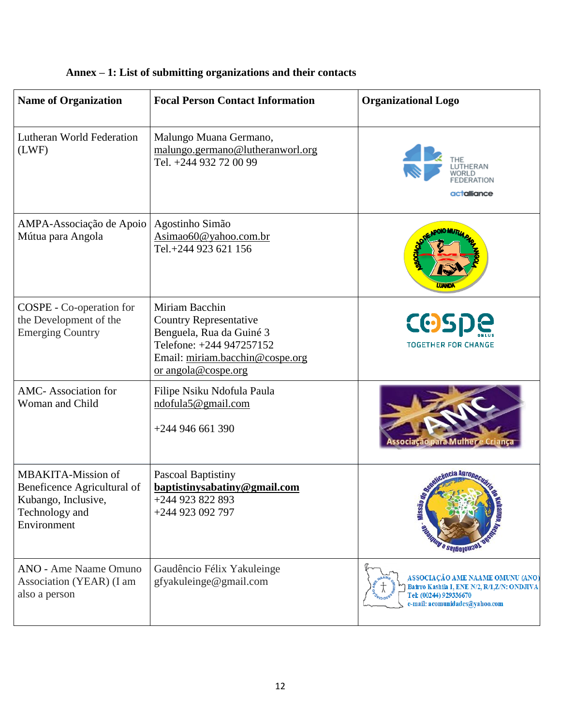| <b>Name of Organization</b>                                                                               | <b>Focal Person Contact Information</b>                                                                                                                           | <b>Organizational Logo</b>                                                                                                                   |
|-----------------------------------------------------------------------------------------------------------|-------------------------------------------------------------------------------------------------------------------------------------------------------------------|----------------------------------------------------------------------------------------------------------------------------------------------|
| <b>Lutheran World Federation</b><br>(LWF)                                                                 | Malungo Muana Germano,<br>malungo.germano@lutheranworl.org<br>Tel. +244 932 72 00 99                                                                              | UTHERAN<br>ERATION<br>actalliance                                                                                                            |
| AMPA-Associação de Apoio<br>Mútua para Angola                                                             | Agostinho Simão<br>Asimao60@yahoo.com.br<br>Tel.+244 923 621 156                                                                                                  |                                                                                                                                              |
| COSPE - Co-operation for<br>the Development of the<br><b>Emerging Country</b>                             | Miriam Bacchin<br><b>Country Representative</b><br>Benguela, Rua da Guiné 3<br>Telefone: +244 947257152<br>Email: miriam.bacchin@cospe.org<br>or angola@cospe.org | <b>COSPE</b><br><b>TOGETHER FOR CHANGE</b>                                                                                                   |
| <b>AMC-Association for</b><br>Woman and Child                                                             | Filipe Nsiku Ndofula Paula<br>ndofula5@gmail.com<br>$+244946661390$                                                                                               | sociação para Mulher e Criança                                                                                                               |
| MBAKITA-Mission of<br>Beneficence Agricultural of<br>Kubango, Inclusive,<br>Technology and<br>Environment | <b>Pascoal Baptistiny</b><br>baptistinysabatiny@gmail.com<br>+244 923 822 893<br>+244 923 092 797                                                                 | ncia Agron<br>Missáo<br><b>BEROLD AND A SEIRCIONAL</b>                                                                                       |
| <b>ANO</b> - Ame Naame Omuno<br>Association (YEAR) (I am<br>also a person                                 | Gaudêncio Félix Yakuleinge<br>gfyakuleinge@gmail.com                                                                                                              | ASSOCIAÇÃO AME NAAME OMUNU (ANO)<br>Bairro Kashila I, ENE N/2, R/1, Z/N: ONDJIVA<br>Tel: (00244) 929336670<br>e-mail: acomunidades@yahoo.com |

# **Annex – 1: List of submitting organizations and their contacts**